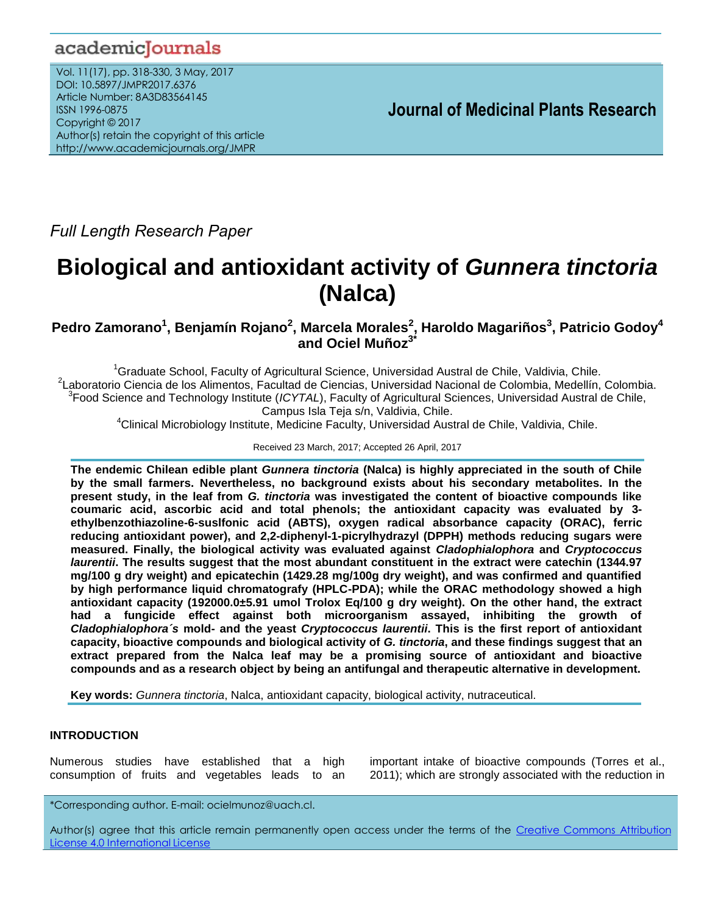## academicJournals

Vol. 11(17), pp. 318-330, 3 May, 2017 DOI: 10.5897/JMPR2017.6376 Article Number: 8A3D83564145 ISSN 1996-0875 Copyright © 2017 Author(s) retain the copyright of this article http://www.academicjournals.org/JMPR

 **Journal of Medicinal Plants Research**

*Full Length Research Paper*

# **Biological and antioxidant activity of** *Gunnera tinctoria* **(Nalca)**

## **Pedro Zamorano<sup>1</sup> , Benjamín Rojano<sup>2</sup> , Marcela Morales<sup>2</sup> , Haroldo Magariños<sup>3</sup> , Patricio Godoy<sup>4</sup> and Ociel Muñoz3\***

Graduate School, Faculty of Agricultural Science, Universidad Austral de Chile, Valdivia, Chile. Laboratorio Ciencia de los Alimentos, Facultad de Ciencias, Universidad Nacional de Colombia, Medellín, Colombia. Food Science and Technology Institute (*ICYTAL*), Faculty of Agricultural Sciences, Universidad Austral de Chile, Campus Isla Teja s/n, Valdivia, Chile.

 $4$ Clinical Microbiology Institute, Medicine Faculty, Universidad Austral de Chile, Valdivia, Chile.

Received 23 March, 2017; Accepted 26 April, 2017

**The endemic Chilean edible plant** *Gunnera tinctoria* **(Nalca) is highly appreciated in the south of Chile by the small farmers. Nevertheless, no background exists about his secondary metabolites. In the present study, in the leaf from** *G. tinctoria* **was investigated the content of bioactive compounds like coumaric acid, ascorbic acid and total phenols; the antioxidant capacity was evaluated by 3 ethylbenzothiazoline-6-suslfonic acid (ABTS), oxygen radical absorbance capacity (ORAC), ferric reducing antioxidant power), and 2,2-diphenyl-1-picrylhydrazyl (DPPH) methods reducing sugars were measured. Finally, the biological activity was evaluated against** *Cladophialophora* **and** *Cryptococcus laurentii***. The results suggest that the most abundant constituent in the extract were catechin (1344.97 mg/100 g dry weight) and epicatechin (1429.28 mg/100g dry weight), and was confirmed and quantified by high performance liquid chromatografy (HPLC-PDA); while the ORAC methodology showed a high antioxidant capacity (192000.0±5.91 umol Trolox Eq/100 g dry weight). On the other hand, the extract had a fungicide effect against both microorganism assayed, inhibiting the growth of**  *Cladophialophora´s* **mold- and the yeast** *Cryptococcus laurentii***. This is the first report of antioxidant capacity, bioactive compounds and biological activity of** *G. tinctoria***, and these findings suggest that an extract prepared from the Nalca leaf may be a promising source of antioxidant and bioactive compounds and as a research object by being an antifungal and therapeutic alternative in development.**

**Key words:** *Gunnera tinctoria*, Nalca, antioxidant capacity, biological activity, nutraceutical.

## **INTRODUCTION**

Numerous studies have established that a high consumption of fruits and vegetables leads to an

important intake of bioactive compounds (Torres et al., 2011); which are strongly associated with the reduction in

\*Corresponding author. E-mail: ocielmunoz@uach.cl.

Author(s) agree that this article remain permanently open access under the terms of the Creative Commons Attribution License 4.0 [International](http://creativecommons.org/licenses/by/4.0/deed.en_US) License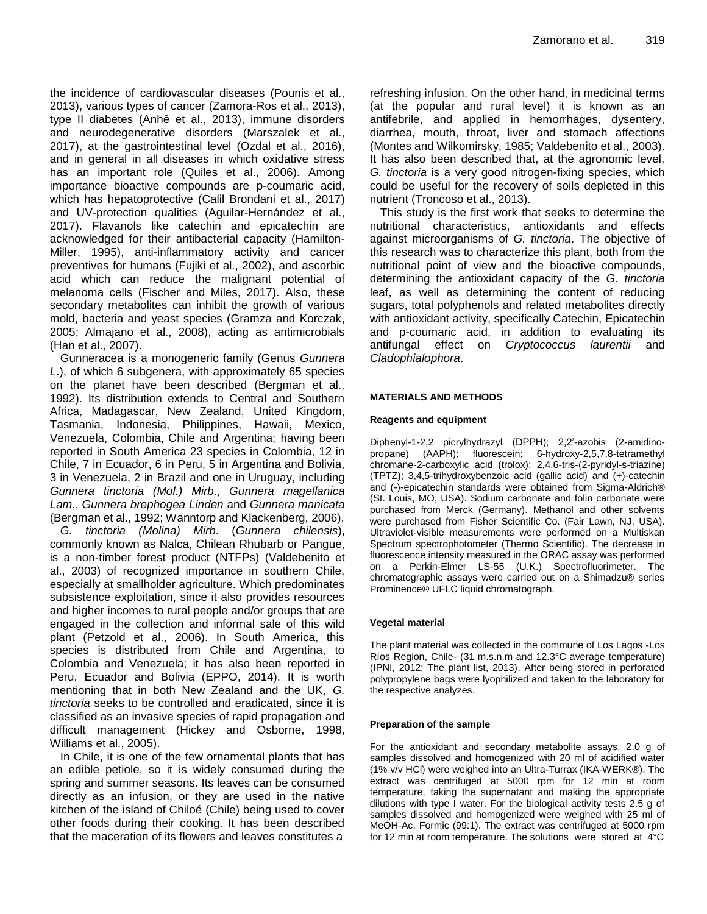the incidence of cardiovascular diseases (Pounis et al., 2013), various types of cancer (Zamora-Ros et al., 2013), type II diabetes (Anhê et al., 2013), immune disorders and neurodegenerative disorders (Marszalek et al., 2017), at the gastrointestinal level (Ozdal et al., 2016), and in general in all diseases in which oxidative stress has an important role (Quiles et al., 2006). Among importance bioactive compounds are p-coumaric acid, which has hepatoprotective (Calil Brondani et al., 2017) and UV-protection qualities (Aguilar-Hernández et al., 2017). Flavanols like catechin and epicatechin are acknowledged for their antibacterial capacity (Hamilton-Miller, 1995), anti-inflammatory activity and cancer preventives for humans (Fujiki et al., 2002), and ascorbic acid which can reduce the malignant potential of melanoma cells (Fischer and Miles, 2017). Also, these secondary metabolites can inhibit the growth of various mold, bacteria and yeast species (Gramza and Korczak, 2005; Almajano et al., 2008), acting as antimicrobials (Han et al., 2007).

Gunneracea is a monogeneric family (Genus *Gunnera L*.), of which 6 subgenera, with approximately 65 species on the planet have been described (Bergman et al., 1992). Its distribution extends to Central and Southern Africa, Madagascar, New Zealand, United Kingdom, Tasmania, Indonesia, Philippines, Hawaii, Mexico, Venezuela, Colombia, Chile and Argentina; having been reported in South America 23 species in Colombia, 12 in Chile, 7 in Ecuador, 6 in Peru, 5 in Argentina and Bolivia, 3 in Venezuela, 2 in Brazil and one in Uruguay, including *Gunnera tinctoria (Mol.) Mirb*., *Gunnera magellanica Lam*., *Gunnera brephogea Linden* and *Gunnera manicata* (Bergman et al., 1992; Wanntorp and Klackenberg, 2006).

*G. tinctoria (Molina) Mirb*. (*Gunnera chilensis*), commonly known as Nalca, Chilean Rhubarb or Pangue, is a non-timber forest product (NTFPs) (Valdebenito et al., 2003) of recognized importance in southern Chile, especially at smallholder agriculture. Which predominates subsistence exploitation, since it also provides resources and higher incomes to rural people and/or groups that are engaged in the collection and informal sale of this wild plant (Petzold et al., 2006). In South America, this species is distributed from Chile and Argentina, to Colombia and Venezuela; it has also been reported in Peru, Ecuador and Bolivia (EPPO, 2014). It is worth mentioning that in both New Zealand and the UK, *G. tinctoria* seeks to be controlled and eradicated, since it is classified as an invasive species of rapid propagation and difficult management (Hickey and Osborne, 1998, Williams et al., 2005).

In Chile, it is one of the few ornamental plants that has an edible petiole, so it is widely consumed during the spring and summer seasons. Its leaves can be consumed directly as an infusion, or they are used in the native kitchen of the island of Chiloé (Chile) being used to cover other foods during their cooking. It has been described that the maceration of its flowers and leaves constitutes a

refreshing infusion. On the other hand, in medicinal terms (at the popular and rural level) it is known as an antifebrile, and applied in hemorrhages, dysentery, diarrhea, mouth, throat, liver and stomach affections (Montes and Wilkomirsky, 1985; Valdebenito et al., 2003). It has also been described that, at the agronomic level, *G. tinctoria* is a very good nitrogen-fixing species, which could be useful for the recovery of soils depleted in this nutrient (Troncoso et al., 2013).

This study is the first work that seeks to determine the nutritional characteristics, antioxidants and effects against microorganisms of *G. tinctoria*. The objective of this research was to characterize this plant, both from the nutritional point of view and the bioactive compounds, determining the antioxidant capacity of the *G. tinctoria* leaf, as well as determining the content of reducing sugars, total polyphenols and related metabolites directly with antioxidant activity, specifically Catechin, Epicatechin and p-coumaric acid, in addition to evaluating its antifungal effect on *Cryptococcus laurentii* and *Cladophialophora*.

#### **MATERIALS AND METHODS**

#### **Reagents and equipment**

Diphenyl-1-2,2 picrylhydrazyl (DPPH); 2,2'-azobis (2-amidinopropane) (AAPH); fluorescein; 6-hydroxy-2,5,7,8-tetramethyl chromane-2-carboxylic acid (trolox); 2,4,6-tris-(2-pyridyl-s-triazine) (TPTZ); 3,4,5-trihydroxybenzoic acid (gallic acid) and (+)-catechin and (-)-epicatechin standards were obtained from Sigma-Aldrich® (St. Louis, MO, USA). Sodium carbonate and folin carbonate were purchased from Merck (Germany). Methanol and other solvents were purchased from Fisher Scientific Co. (Fair Lawn, NJ, USA). Ultraviolet-visible measurements were performed on a Multiskan Spectrum spectrophotometer (Thermo Scientific). The decrease in fluorescence intensity measured in the ORAC assay was performed on a Perkin-Elmer LS-55 (U.K.) Spectrofluorimeter. The chromatographic assays were carried out on a Shimadzu® series Prominence® UFLC liquid chromatograph.

#### **Vegetal material**

The plant material was collected in the commune of Los Lagos -Los Ríos Region, Chile- (31 m.s.n.m and 12.3°C average temperature) (IPNI, 2012; The plant list, 2013). After being stored in perforated polypropylene bags were lyophilized and taken to the laboratory for the respective analyzes.

#### **Preparation of the sample**

For the antioxidant and secondary metabolite assays, 2.0 g of samples dissolved and homogenized with 20 ml of acidified water (1% v/v HCl) were weighed into an Ultra-Turrax (IKA-WERK®). The extract was centrifuged at 5000 rpm for 12 min at room temperature, taking the supernatant and making the appropriate dilutions with type I water. For the biological activity tests 2.5 g of samples dissolved and homogenized were weighed with 25 ml of MeOH-Ac. Formic (99:1). The extract was centrifuged at 5000 rpm for 12 min at room temperature. The solutions were stored at 4°C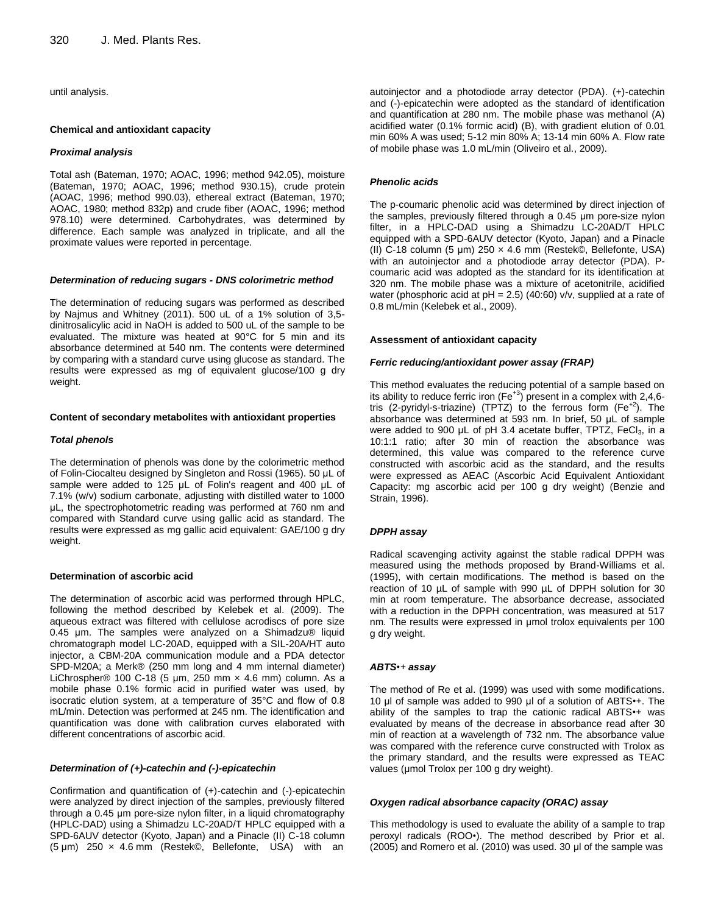until analysis.

#### **Chemical and antioxidant capacity**

#### *Proximal analysis*

Total ash (Bateman, 1970; AOAC, 1996; method 942.05), moisture (Bateman, 1970; AOAC, 1996; method 930.15), crude protein (AOAC, 1996; method 990.03), ethereal extract (Bateman, 1970; AOAC, 1980; method 832p) and crude fiber (AOAC, 1996; method 978.10) were determined. Carbohydrates, was determined by difference. Each sample was analyzed in triplicate, and all the proximate values were reported in percentage.

#### *Determination of reducing sugars - DNS colorimetric method*

The determination of reducing sugars was performed as described by Najmus and Whitney (2011). 500 uL of a 1% solution of 3,5 dinitrosalicylic acid in NaOH is added to 500 uL of the sample to be evaluated. The mixture was heated at 90°C for 5 min and its absorbance determined at 540 nm. The contents were determined by comparing with a standard curve using glucose as standard. The results were expressed as mg of equivalent glucose/100 g dry weight.

#### **Content of secondary metabolites with antioxidant properties**

#### *Total phenols*

The determination of phenols was done by the colorimetric method of Folin-Ciocalteu designed by Singleton and Rossi (1965). 50 μL of sample were added to 125 μL of Folin's reagent and 400 μL of 7.1% (w/v) sodium carbonate, adjusting with distilled water to 1000 μL, the spectrophotometric reading was performed at 760 nm and compared with Standard curve using gallic acid as standard. The results were expressed as mg gallic acid equivalent: GAE/100 g dry weight.

#### **Determination of ascorbic acid**

The determination of ascorbic acid was performed through HPLC, following the method described by Kelebek et al. (2009). The aqueous extract was filtered with cellulose acrodiscs of pore size 0.45 μm. The samples were analyzed on a Shimadzu® liquid chromatograph model LC-20AD, equipped with a SIL-20A/HT auto injector, a CBM-20A communication module and a PDA detector SPD-M20A; a Merk® (250 mm long and 4 mm internal diameter) LiChrospher® 100 C-18 (5 μm, 250 mm × 4.6 mm) column. As a mobile phase 0.1% formic acid in purified water was used, by isocratic elution system, at a temperature of 35°C and flow of 0.8 mL/min. Detection was performed at 245 nm. The identification and quantification was done with calibration curves elaborated with different concentrations of ascorbic acid.

#### *Determination of (+)-catechin and (-)-epicatechin*

Confirmation and quantification of (+)-catechin and (-)-epicatechin were analyzed by direct injection of the samples, previously filtered through a 0.45 μm pore-size nylon filter, in a liquid chromatography (HPLC-DAD) using a Shimadzu LC-20AD/T HPLC equipped with a SPD-6AUV detector (Kyoto, Japan) and a Pinacle (II) C-18 column (5 μm) 250 × 4.6 mm (Restek©, Bellefonte, USA) with an

autoinjector and a photodiode array detector (PDA). (+)-catechin and (-)-epicatechin were adopted as the standard of identification and quantification at 280 nm. The mobile phase was methanol (A) acidified water (0.1% formic acid) (B), with gradient elution of 0.01 min 60% A was used; 5-12 min 80% A; 13-14 min 60% A. Flow rate of mobile phase was 1.0 mL/min (Oliveiro et al., 2009).

#### *Phenolic acids*

The p-coumaric phenolic acid was determined by direct injection of the samples, previously filtered through a 0.45 μm pore-size nylon filter, in a HPLC-DAD using a Shimadzu LC-20AD/T HPLC equipped with a SPD-6AUV detector (Kyoto, Japan) and a Pinacle (II) C-18 column (5 μm) 250 × 4.6 mm (Restek©, Bellefonte, USA) with an autoinjector and a photodiode array detector (PDA). Pcoumaric acid was adopted as the standard for its identification at 320 nm. The mobile phase was a mixture of acetonitrile, acidified water (phosphoric acid at  $pH = 2.5$ ) (40:60) v/v, supplied at a rate of 0.8 mL/min (Kelebek et al., 2009).

#### **Assessment of antioxidant capacity**

#### *Ferric reducing/antioxidant power assay (FRAP)*

This method evaluates the reducing potential of a sample based on its ability to reduce ferric iron (Fe<sup>+3</sup>) present in a complex with 2,4,6tris (2-pyridyl-s-triazine) (TPTZ) to the ferrous form  $(Fe^{+2})$ . The absorbance was determined at 593 nm. In brief, 50 μL of sample were added to 900 μL of pH 3.4 acetate buffer, TPTZ, FeCl<sub>3</sub>, in a 10:1:1 ratio; after 30 min of reaction the absorbance was determined, this value was compared to the reference curve constructed with ascorbic acid as the standard, and the results were expressed as AEAC (Ascorbic Acid Equivalent Antioxidant Capacity: mg ascorbic acid per 100 g dry weight) (Benzie and Strain, 1996).

#### *DPPH assay*

Radical scavenging activity against the stable radical DPPH was measured using the methods proposed by Brand-Williams et al. (1995), with certain modifications. The method is based on the reaction of 10 µL of sample with 990 µL of DPPH solution for 30 min at room temperature. The absorbance decrease, associated with a reduction in the DPPH concentration, was measured at 517 nm. The results were expressed in μmol trolox equivalents per 100 g dry weight.

#### *ABTS•+ assay*

The method of Re et al. (1999) was used with some modifications. 10 μl of sample was added to 990 μl of a solution of ABTS•+. The ability of the samples to trap the cationic radical ABTS•+ was evaluated by means of the decrease in absorbance read after 30 min of reaction at a wavelength of 732 nm. The absorbance value was compared with the reference curve constructed with Trolox as the primary standard, and the results were expressed as TEAC values (μmol Trolox per 100 g dry weight).

#### *Oxygen radical absorbance capacity (ORAC) assay*

This methodology is used to evaluate the ability of a sample to trap peroxyl radicals (ROO•). The method described by Prior et al. (2005) and Romero et al. (2010) was used. 30 μl of the sample was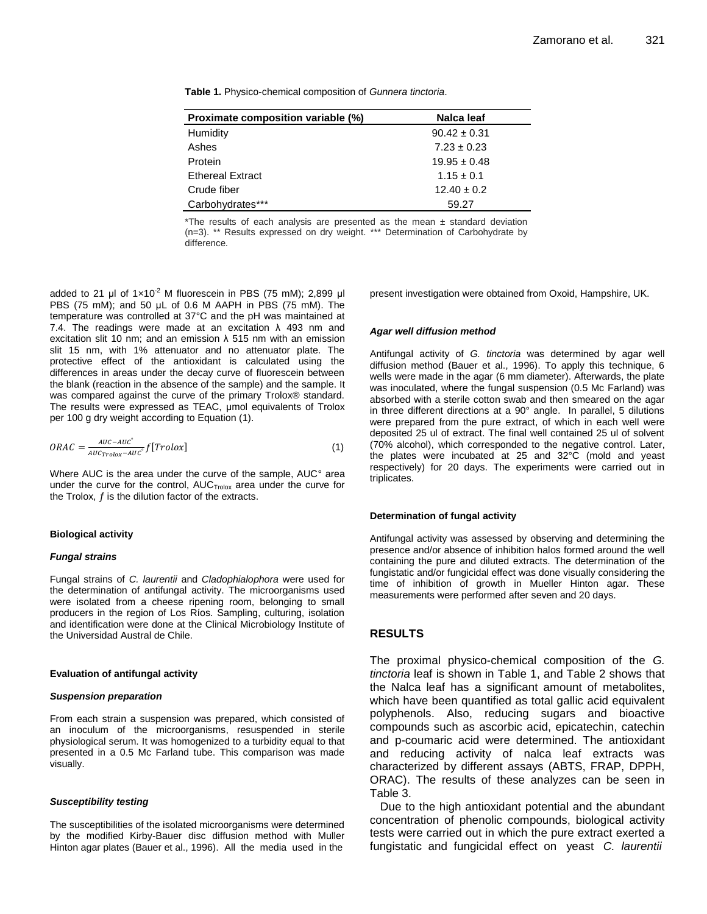**Table 1.** Physico-chemical composition of *Gunnera tinctoria*.

| Proximate composition variable (%) | Nalca leaf       |
|------------------------------------|------------------|
| Humidity                           | $90.42 \pm 0.31$ |
| Ashes                              | $7.23 \pm 0.23$  |
| Protein                            | $19.95 \pm 0.48$ |
| <b>Ethereal Extract</b>            | $1.15 \pm 0.1$   |
| Crude fiber                        | $12.40 \pm 0.2$  |
| Carbohydrates***                   | 59.27            |

\*The results of each analysis are presented as the mean  $\pm$  standard deviation (n=3). \*\* Results expressed on dry weight. \*\*\* Determination of Carbohydrate by difference.

added to 21 μl of  $1 \times 10^{-2}$  M fluorescein in PBS (75 mM); 2,899 μl PBS (75 mM); and 50 μL of 0.6 M AAPH in PBS (75 mM). The temperature was controlled at 37°C and the pH was maintained at 7.4. The readings were made at an excitation  $\lambda$  493 nm and excitation slit 10 nm; and an emission  $\lambda$  515 nm with an emission slit 15 nm, with 1% attenuator and no attenuator plate. The protective effect of the antioxidant is calculated using the differences in areas under the decay curve of fluorescein between the blank (reaction in the absence of the sample) and the sample. It was compared against the curve of the primary Trolox® standard. The results were expressed as TEAC, μmol equivalents of Trolox per 100 g dry weight according to Equation (1).

$$
ORAC = \frac{AUC - AUC^{\circ}}{AUC_{Trolox} - AUC^{\circ}} f[Trolox]
$$
\n<sup>(1)</sup>

Where AUC is the area under the curve of the sample, AUC° area under the curve for the control, AUC<sub>Trolox</sub> area under the curve for the Trolox,  $f$  is the dilution factor of the extracts.

#### **Biological activity**

#### *Fungal strains*

Fungal strains of *C. laurentii* and *Cladophialophora* were used for the determination of antifungal activity. The microorganisms used were isolated from a cheese ripening room, belonging to small producers in the region of Los Ríos. Sampling, culturing, isolation and identification were done at the Clinical Microbiology Institute of the Universidad Austral de Chile.

#### **Evaluation of antifungal activity**

#### *Suspension preparation*

From each strain a suspension was prepared, which consisted of an inoculum of the microorganisms, resuspended in sterile physiological serum. It was homogenized to a turbidity equal to that presented in a 0.5 Mc Farland tube. This comparison was made visually.

#### *Susceptibility testing*

The susceptibilities of the isolated microorganisms were determined by the modified Kirby-Bauer disc diffusion method with Muller Hinton agar plates (Bauer et al., 1996). All the media used in the

present investigation were obtained from Oxoid, Hampshire, UK.

#### *Agar well diffusion method*

Antifungal activity of *G. tinctoria* was determined by agar well diffusion method (Bauer et al., 1996). To apply this technique, 6 wells were made in the agar (6 mm diameter). Afterwards, the plate was inoculated, where the fungal suspension (0.5 Mc Farland) was absorbed with a sterile cotton swab and then smeared on the agar in three different directions at a 90° angle. In parallel, 5 dilutions were prepared from the pure extract, of which in each well were deposited 25 ul of extract. The final well contained 25 ul of solvent (70% alcohol), which corresponded to the negative control. Later, the plates were incubated at 25 and 32°C (mold and yeast respectively) for 20 days. The experiments were carried out in triplicates.

#### **Determination of fungal activity**

Antifungal activity was assessed by observing and determining the presence and/or absence of inhibition halos formed around the well containing the pure and diluted extracts. The determination of the fungistatic and/or fungicidal effect was done visually considering the time of inhibition of growth in Mueller Hinton agar. These measurements were performed after seven and 20 days.

#### **RESULTS**

The proximal physico-chemical composition of the *G. tinctoria* leaf is shown in Table 1, and Table 2 shows that the Nalca leaf has a significant amount of metabolites, which have been quantified as total gallic acid equivalent polyphenols. Also, reducing sugars and bioactive compounds such as ascorbic acid, epicatechin, catechin and p-coumaric acid were determined. The antioxidant and reducing activity of nalca leaf extracts was characterized by different assays (ABTS, FRAP, DPPH, ORAC). The results of these analyzes can be seen in Table 3.

Due to the high antioxidant potential and the abundant concentration of phenolic compounds, biological activity tests were carried out in which the pure extract exerted a fungistatic and fungicidal effect on yeast *C. laurentii*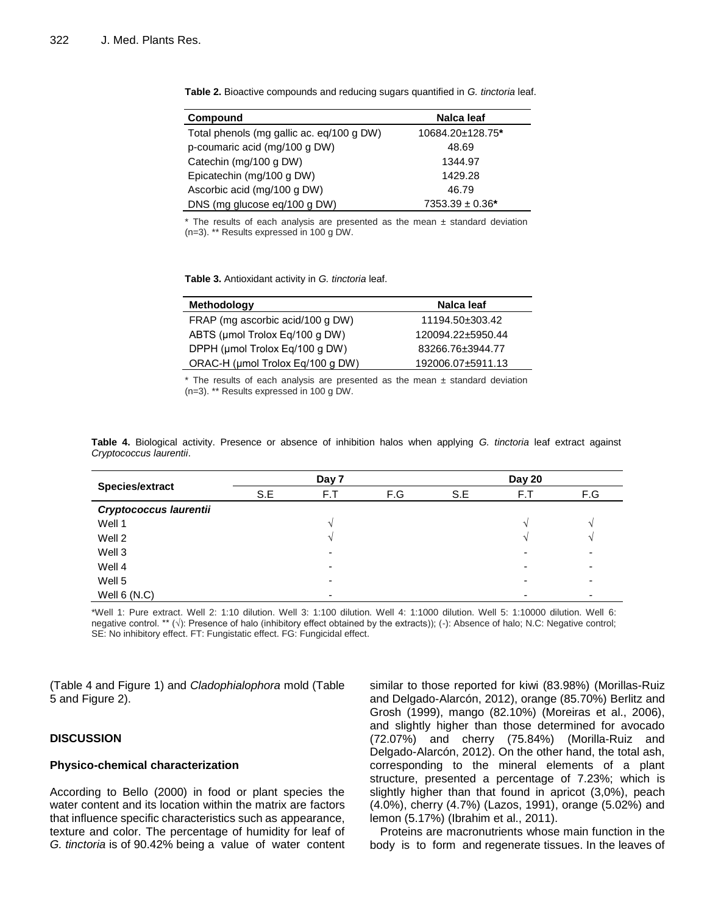| Compound                                  | Nalca leaf           |
|-------------------------------------------|----------------------|
| Total phenols (mg gallic ac. eq/100 g DW) | 10684.20±128.75*     |
| p-coumaric acid (mg/100 g DW)             | 48.69                |
| Catechin (mg/100 g DW)                    | 1344.97              |
| Epicatechin (mg/100 g DW)                 | 1429.28              |
| Ascorbic acid (mg/100 g DW)               | 46.79                |
| DNS (mg glucose eq/100 g DW)              | $7353.39 \pm 0.36^*$ |

**Table 2.** Bioactive compounds and reducing sugars quantified in *G. tinctoria* leaf.

\* The results of each analysis are presented as the mean ± standard deviation (n=3). \*\* Results expressed in 100 g DW.

**Table 3.** Antioxidant activity in *G. tinctoria* leaf.

| <b>Methodology</b>               | Nalca leaf        |
|----------------------------------|-------------------|
| FRAP (mg ascorbic acid/100 g DW) | 11194.50±303.42   |
| ABTS (µmol Trolox Eq/100 g DW)   | 120094.22±5950.44 |
| DPPH (µmol Trolox Eq/100 g DW)   | 83266.76±3944.77  |
| ORAC-H (µmol Trolox Eq/100 g DW) | 192006.07±5911.13 |

 $*$  The results of each analysis are presented as the mean  $\pm$  standard deviation (n=3). \*\* Results expressed in 100 g DW.

|                               | Day 7 |     |     | Day 20 |     |     |  |
|-------------------------------|-------|-----|-----|--------|-----|-----|--|
| Species/extract               | S.E   | F.T | F.G | S.E    | F.T | F.G |  |
| <b>Cryptococcus laurentii</b> |       |     |     |        |     |     |  |
| Well 1                        |       |     |     |        |     |     |  |
| Well 2                        |       |     |     |        |     |     |  |
| Well 3                        |       |     |     |        |     |     |  |
| Well 4                        |       | -   |     |        | -   |     |  |
| Well 5                        |       |     |     |        |     |     |  |
| Well $6(N.C)$                 |       |     |     |        |     |     |  |

**Table 4.** Biological activity. Presence or absence of inhibition halos when applying *G. tinctoria* leaf extract against *Cryptococcus laurentii*.

\*Well 1: Pure extract. Well 2: 1:10 dilution. Well 3: 1:100 dilution. Well 4: 1:1000 dilution. Well 5: 1:10000 dilution. Well 6: negative control. \*\* (√): Presence of halo (inhibitory effect obtained by the extracts)); (-): Absence of halo; N.C: Negative control; SE: No inhibitory effect. FT: Fungistatic effect. FG: Fungicidal effect.

(Table 4 and Figure 1) and *Cladophialophora* mold (Table 5 and Figure 2).

## **DISCUSSION**

#### **Physico-chemical characterization**

According to Bello (2000) in food or plant species the water content and its location within the matrix are factors that influence specific characteristics such as appearance, texture and color. The percentage of humidity for leaf of *G. tinctoria* is of 90.42% being a value of water content similar to those reported for kiwi (83.98%) (Morillas-Ruiz and Delgado-Alarcón, 2012), orange (85.70%) Berlitz and Grosh (1999), mango (82.10%) (Moreiras et al., 2006), and slightly higher than those determined for avocado (72.07%) and cherry (75.84%) (Morilla-Ruiz and Delgado-Alarcón, 2012). On the other hand, the total ash, corresponding to the mineral elements of a plant structure, presented a percentage of 7.23%; which is slightly higher than that found in apricot (3,0%), peach (4.0%), cherry (4.7%) (Lazos, 1991), orange (5.02%) and lemon (5.17%) (Ibrahim et al., 2011).

Proteins are macronutrients whose main function in the body is to form and regenerate tissues. In the leaves of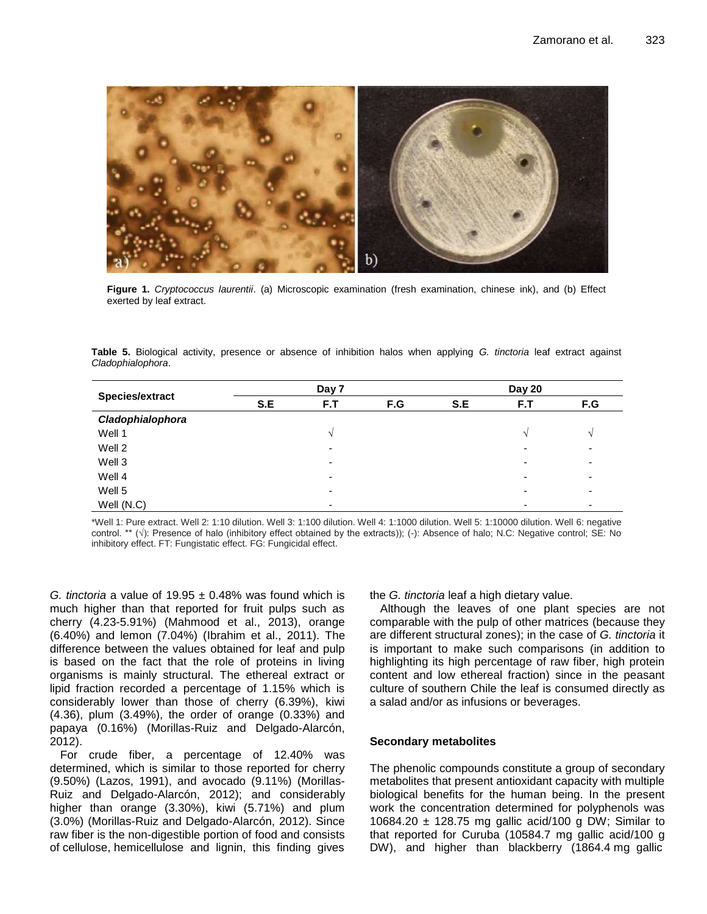

**Figure 1.** *Cryptococcus laurentii*. (a) Microscopic examination (fresh examination, chinese ink), and (b) Effect exerted by leaf extract.

**Table 5.** Biological activity, presence or absence of inhibition halos when applying *G. tinctoria* leaf extract against *Cladophialophora*.

|                  | Day 7 |     |     | Day 20 |                          |              |  |
|------------------|-------|-----|-----|--------|--------------------------|--------------|--|
| Species/extract  | S.E   | F.T | F.G | S.E    | F.T                      | F.G          |  |
| Cladophialophora |       |     |     |        |                          |              |  |
| Well 1           |       |     |     |        | $\mathcal{N}$            | $\mathbf{v}$ |  |
| Well 2           |       | -   |     |        | $\overline{\phantom{0}}$ | ٠            |  |
| Well 3           |       | -   |     |        | $\overline{\phantom{a}}$ | ٠            |  |
| Well 4           |       | -   |     |        | $\overline{\phantom{a}}$ | -            |  |
| Well 5           |       | -   |     |        | $\overline{\phantom{0}}$ | -            |  |
| Well (N.C)       |       | -   |     |        |                          |              |  |

\*Well 1: Pure extract. Well 2: 1:10 dilution. Well 3: 1:100 dilution. Well 4: 1:1000 dilution. Well 5: 1:10000 dilution. Well 6: negative control. \*\* (√): Presence of halo (inhibitory effect obtained by the extracts)); (-): Absence of halo; N.C: Negative control; SE: No inhibitory effect. FT: Fungistatic effect. FG: Fungicidal effect.

*G. tinctoria* a value of 19.95 ± 0.48% was found which is much higher than that reported for fruit pulps such as cherry (4.23-5.91%) (Mahmood et al., 2013), orange (6.40%) and lemon (7.04%) (Ibrahim et al., 2011). The difference between the values obtained for leaf and pulp is based on the fact that the role of proteins in living organisms is mainly structural. The ethereal extract or lipid fraction recorded a percentage of 1.15% which is considerably lower than those of cherry (6.39%), kiwi (4.36), plum (3.49%), the order of orange (0.33%) and papaya (0.16%) (Morillas-Ruiz and Delgado-Alarcón, 2012).

For crude fiber, a percentage of 12.40% was determined, which is similar to those reported for cherry (9.50%) (Lazos, 1991), and avocado (9.11%) (Morillas-Ruiz and Delgado-Alarcón, 2012); and considerably higher than orange (3.30%), kiwi (5.71%) and plum (3.0%) (Morillas-Ruiz and Delgado-Alarcón, 2012). Since raw fiber is the non-digestible portion of food and consists of cellulose, hemicellulose and lignin, this finding gives the *G. tinctoria* leaf a high dietary value.

Although the leaves of one plant species are not comparable with the pulp of other matrices (because they are different structural zones); in the case of *G. tinctoria* it is important to make such comparisons (in addition to highlighting its high percentage of raw fiber, high protein content and low ethereal fraction) since in the peasant culture of southern Chile the leaf is consumed directly as a salad and/or as infusions or beverages.

## **Secondary metabolites**

The phenolic compounds constitute a group of secondary metabolites that present antioxidant capacity with multiple biological benefits for the human being. In the present work the concentration determined for polyphenols was 10684.20 ± 128.75 mg gallic acid/100 g DW; Similar to that reported for Curuba (10584.7 mg gallic acid/100 g DW), and higher than blackberry (1864.4 mg gallic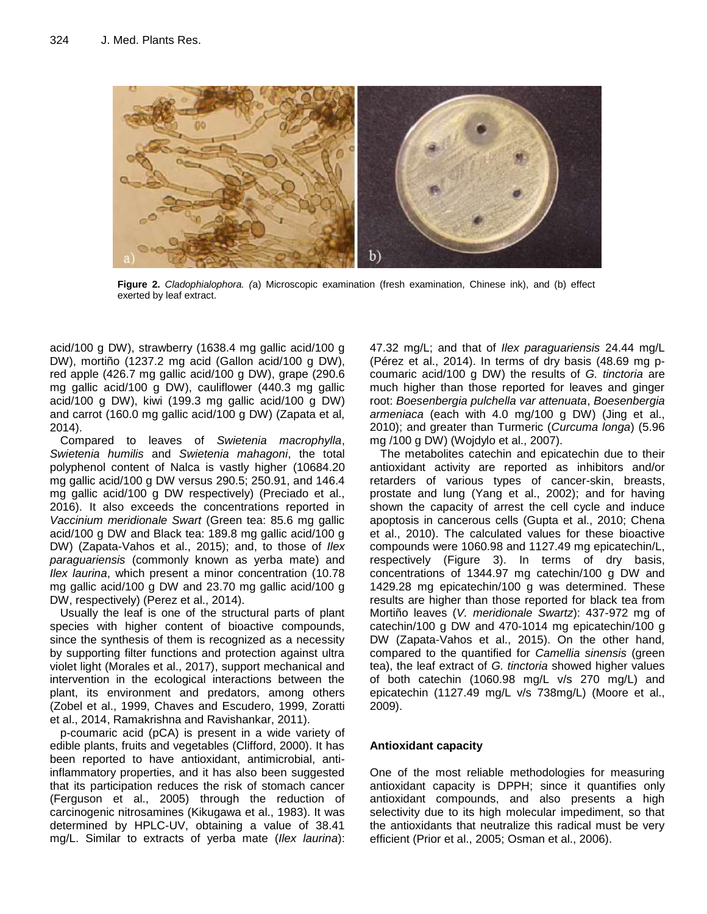

**Figure 2.** *Cladophialophora. (*a) Microscopic examination (fresh examination, Chinese ink), and (b) effect exerted by leaf extract.

acid/100 g DW), strawberry (1638.4 mg gallic acid/100 g DW), mortiño (1237.2 mg acid (Gallon acid/100 g DW), red apple (426.7 mg gallic acid/100 g DW), grape (290.6 mg gallic acid/100 g DW), cauliflower (440.3 mg gallic acid/100 g DW), kiwi (199.3 mg gallic acid/100 g DW) and carrot (160.0 mg gallic acid/100 g DW) (Zapata et al, 2014).

Compared to leaves of *Swietenia macrophylla*, *Swietenia humilis* and *Swietenia mahagoni*, the total polyphenol content of Nalca is vastly higher (10684.20 mg gallic acid/100 g DW versus 290.5; 250.91, and 146.4 mg gallic acid/100 g DW respectively) (Preciado et al., 2016). It also exceeds the concentrations reported in *Vaccinium meridionale Swart* (Green tea: 85.6 mg gallic acid/100 g DW and Black tea: 189.8 mg gallic acid/100 g DW) (Zapata-Vahos et al., 2015); and, to those of *Ilex paraguariensis* (commonly known as yerba mate) and *Ilex laurina*, which present a minor concentration (10.78 mg gallic acid/100 g DW and 23.70 mg gallic acid/100 g DW, respectively) (Perez et al., 2014).

Usually the leaf is one of the structural parts of plant species with higher content of bioactive compounds, since the synthesis of them is recognized as a necessity by supporting filter functions and protection against ultra violet light (Morales et al., 2017), support mechanical and intervention in the ecological interactions between the plant, its environment and predators, among others (Zobel et al., 1999, Chaves and Escudero, 1999, Zoratti et al., 2014, Ramakrishna and Ravishankar, 2011).

p-coumaric acid (pCA) is present in a wide variety of edible plants, fruits and vegetables (Clifford, 2000). It has been reported to have antioxidant, antimicrobial, antiinflammatory properties, and it has also been suggested that its participation reduces the risk of stomach cancer (Ferguson et al., 2005) through the reduction of carcinogenic nitrosamines (Kikugawa et al., 1983). It was determined by HPLC-UV, obtaining a value of 38.41 mg/L. Similar to extracts of yerba mate (*Ilex laurina*): 47.32 mg/L; and that of *Ilex paraguariensis* 24.44 mg/L (Pérez et al., 2014). In terms of dry basis (48.69 mg pcoumaric acid/100 g DW) the results of *G. tinctoria* are much higher than those reported for leaves and ginger root: *Boesenbergia pulchella var attenuata*, *Boesenbergia armeniaca* (each with 4.0 mg/100 g DW) (Jing et al., 2010); and greater than Turmeric (*Curcuma longa*) (5.96 mg /100 g DW) (Wojdylo et al., 2007).

The metabolites catechin and epicatechin due to their antioxidant activity are reported as inhibitors and/or retarders of various types of cancer-skin, breasts, prostate and lung (Yang et al., 2002); and for having shown the capacity of arrest the cell cycle and induce apoptosis in cancerous cells (Gupta et al., 2010; Chena et al., 2010). The calculated values for these bioactive compounds were 1060.98 and 1127.49 mg epicatechin/L, respectively (Figure 3). In terms of dry basis, concentrations of 1344.97 mg catechin/100 g DW and 1429.28 mg epicatechin/100 g was determined. These results are higher than those reported for black tea from Mortiño leaves (*V. meridionale Swartz*): 437-972 mg of catechin/100 g DW and 470-1014 mg epicatechin/100 g DW (Zapata-Vahos et al., 2015). On the other hand, compared to the quantified for *Camellia sinensis* (green tea), the leaf extract of *G. tinctoria* showed higher values of both catechin (1060.98 mg/L v/s 270 mg/L) and epicatechin (1127.49 mg/L v/s 738mg/L) (Moore et al., 2009).

## **Antioxidant capacity**

One of the most reliable methodologies for measuring antioxidant capacity is DPPH; since it quantifies only antioxidant compounds, and also presents a high selectivity due to its high molecular impediment, so that the antioxidants that neutralize this radical must be very efficient (Prior et al., 2005; Osman et al., 2006).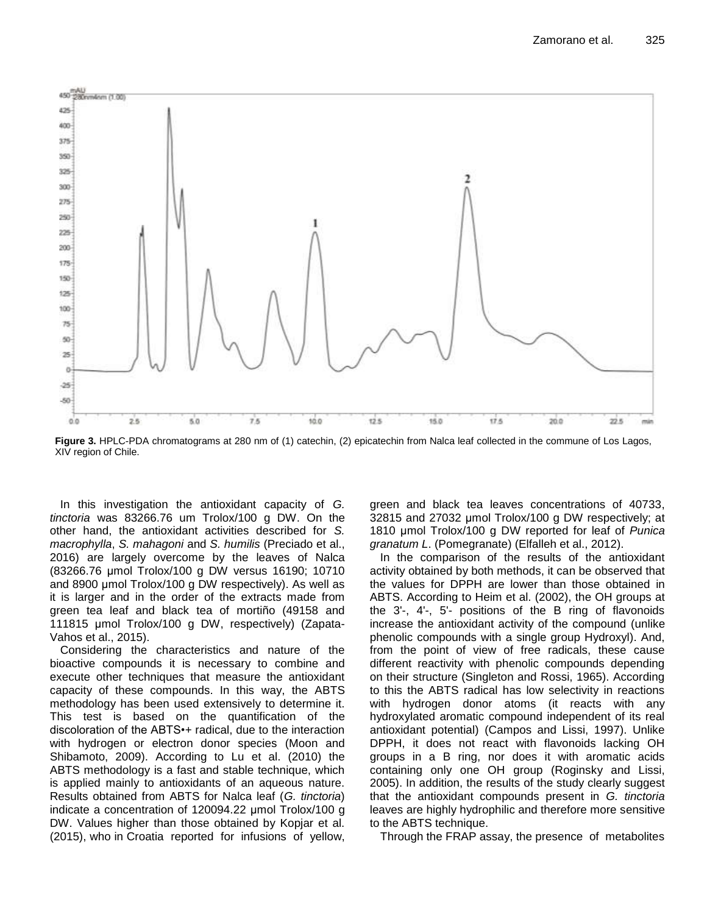

**Figure 3.** HPLC-PDA chromatograms at 280 nm of (1) catechin, (2) epicatechin from Nalca leaf collected in the commune of Los Lagos, XIV region of Chile.

In this investigation the antioxidant capacity of *G. tinctoria* was 83266.76 um Trolox/100 g DW. On the other hand, the antioxidant activities described for *S. macrophylla*, *S. mahagoni* and *S. humilis* (Preciado et al., 2016) are largely overcome by the leaves of Nalca (83266.76 μmol Trolox/100 g DW versus 16190; 10710 and 8900 μmol Trolox/100 g DW respectively). As well as it is larger and in the order of the extracts made from green tea leaf and black tea of mortiño (49158 and 111815 μmol Trolox/100 g DW, respectively) (Zapata-Vahos et al., 2015).

Considering the characteristics and nature of the bioactive compounds it is necessary to combine and execute other techniques that measure the antioxidant capacity of these compounds. In this way, the ABTS methodology has been used extensively to determine it. This test is based on the quantification of the discoloration of the ABTS•+ radical, due to the interaction with hydrogen or electron donor species (Moon and Shibamoto, 2009). According to Lu et al. (2010) the ABTS methodology is a fast and stable technique, which is applied mainly to antioxidants of an aqueous nature. Results obtained from ABTS for Nalca leaf (*G. tinctoria*) indicate a concentration of 120094.22 μmol Trolox/100 g DW. Values higher than those obtained by Kopjar et al. (2015), who in Croatia reported for infusions of yellow, green and black tea leaves concentrations of 40733, 32815 and 27032 μmol Trolox/100 g DW respectively; at 1810 μmol Trolox/100 g DW reported for leaf of *Punica granatum L*. (Pomegranate) (Elfalleh et al., 2012).

In the comparison of the results of the antioxidant activity obtained by both methods, it can be observed that the values for DPPH are lower than those obtained in ABTS. According to Heim et al. (2002), the OH groups at the 3'-, 4'-, 5'- positions of the B ring of flavonoids increase the antioxidant activity of the compound (unlike phenolic compounds with a single group Hydroxyl). And, from the point of view of free radicals, these cause different reactivity with phenolic compounds depending on their structure (Singleton and Rossi, 1965). According to this the ABTS radical has low selectivity in reactions with hydrogen donor atoms (it reacts with any hydroxylated aromatic compound independent of its real antioxidant potential) (Campos and Lissi, 1997). Unlike DPPH, it does not react with flavonoids lacking OH groups in a B ring, nor does it with aromatic acids containing only one OH group (Roginsky and Lissi, 2005). In addition, the results of the study clearly suggest that the antioxidant compounds present in *G. tinctoria* leaves are highly hydrophilic and therefore more sensitive to the ABTS technique.

Through the FRAP assay, the presence of metabolites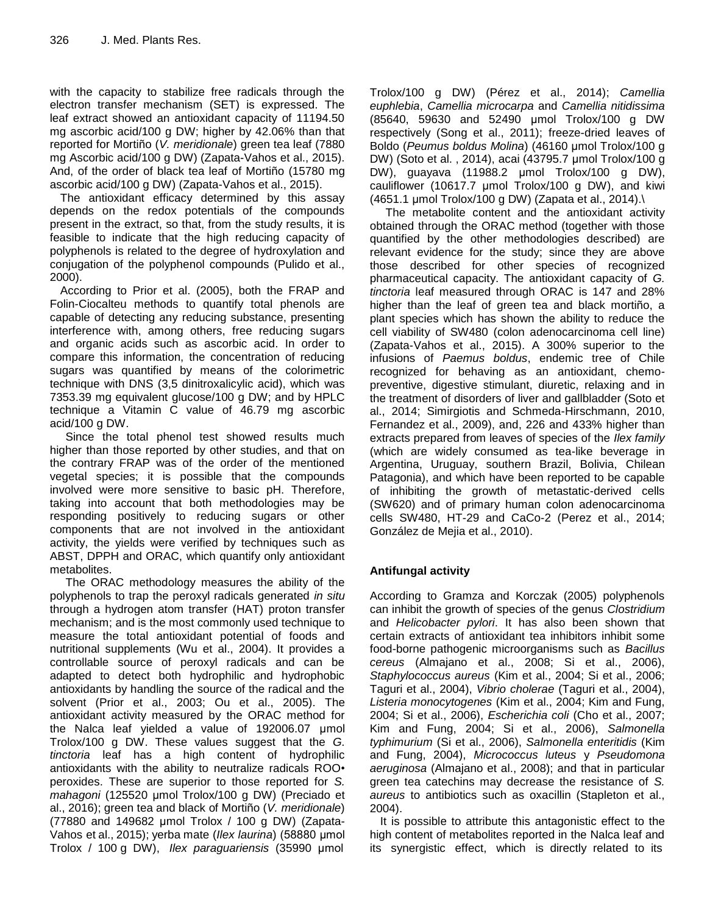with the capacity to stabilize free radicals through the electron transfer mechanism (SET) is expressed. The leaf extract showed an antioxidant capacity of 11194.50 mg ascorbic acid/100 g DW; higher by 42.06% than that reported for Mortiño (*V. meridionale*) green tea leaf (7880 mg Ascorbic acid/100 g DW) (Zapata-Vahos et al., 2015). And, of the order of black tea leaf of Mortiño (15780 mg ascorbic acid/100 g DW) (Zapata-Vahos et al., 2015).

The antioxidant efficacy determined by this assay depends on the redox potentials of the compounds present in the extract, so that, from the study results, it is feasible to indicate that the high reducing capacity of polyphenols is related to the degree of hydroxylation and conjugation of the polyphenol compounds (Pulido et al., 2000).

According to Prior et al. (2005), both the FRAP and Folin-Ciocalteu methods to quantify total phenols are capable of detecting any reducing substance, presenting interference with, among others, free reducing sugars and organic acids such as ascorbic acid. In order to compare this information, the concentration of reducing sugars was quantified by means of the colorimetric technique with DNS (3,5 dinitroxalicylic acid), which was 7353.39 mg equivalent glucose/100 g DW; and by HPLC technique a Vitamin C value of 46.79 mg ascorbic acid/100 g DW.

Since the total phenol test showed results much higher than those reported by other studies, and that on the contrary FRAP was of the order of the mentioned vegetal species; it is possible that the compounds involved were more sensitive to basic pH. Therefore, taking into account that both methodologies may be responding positively to reducing sugars or other components that are not involved in the antioxidant activity, the yields were verified by techniques such as ABST, DPPH and ORAC, which quantify only antioxidant metabolites.

The ORAC methodology measures the ability of the polyphenols to trap the peroxyl radicals generated *in situ* through a hydrogen atom transfer (HAT) proton transfer mechanism; and is the most commonly used technique to measure the total antioxidant potential of foods and nutritional supplements (Wu et al., 2004). It provides a controllable source of peroxyl radicals and can be adapted to detect both hydrophilic and hydrophobic antioxidants by handling the source of the radical and the solvent (Prior et al., 2003; Ou et al., 2005). The antioxidant activity measured by the ORAC method for the Nalca leaf yielded a value of 192006.07 μmol Trolox/100 g DW. These values suggest that the *G. tinctoria* leaf has a high content of hydrophilic antioxidants with the ability to neutralize radicals ROO• peroxides. These are superior to those reported for *S. mahagoni* (125520 μmol Trolox/100 g DW) (Preciado et al., 2016); green tea and black of Mortiño (*V. meridionale*) (77880 and 149682 μmol Trolox / 100 g DW) (Zapata-Vahos et al., 2015); yerba mate (*Ilex laurina*) (58880 μmol Trolox / 100 g DW), *Ilex paraguariensis* (35990 μmol Trolox/100 g DW) (Pérez et al., 2014); *Camellia euphlebia*, *Camellia microcarpa* and *Camellia nitidissima* (85640, 59630 and 52490 μmol Trolox/100 g DW respectively (Song et al., 2011); freeze-dried leaves of Boldo (*Peumus boldus Molina*) (46160 μmol Trolox/100 g DW) (Soto et al. , 2014), acai (43795.7 μmol Trolox/100 g DW), guayava (11988.2 μmol Trolox/100 g DW), cauliflower (10617.7 μmol Trolox/100 g DW), and kiwi (4651.1 μmol Trolox/100 g DW) (Zapata et al., 2014).\

The metabolite content and the antioxidant activity obtained through the ORAC method (together with those quantified by the other methodologies described) are relevant evidence for the study; since they are above those described for other species of recognized pharmaceutical capacity. The antioxidant capacity of *G. tinctoria* leaf measured through ORAC is 147 and 28% higher than the leaf of green tea and black mortiño, a plant species which has shown the ability to reduce the cell viability of SW480 (colon adenocarcinoma cell line) (Zapata-Vahos et al., 2015). A 300% superior to the infusions of *Paemus boldus*, endemic tree of Chile recognized for behaving as an antioxidant, chemopreventive, digestive stimulant, diuretic, relaxing and in the treatment of disorders of liver and gallbladder (Soto et al., 2014; Simirgiotis and Schmeda-Hirschmann, 2010, Fernandez et al., 2009), and, 226 and 433% higher than extracts prepared from leaves of species of the *Ilex family* (which are widely consumed as tea-like beverage in Argentina, Uruguay, southern Brazil, Bolivia, Chilean Patagonia), and which have been reported to be capable of inhibiting the growth of metastatic-derived cells (SW620) and of primary human colon adenocarcinoma cells SW480, HT-29 and CaCo-2 (Perez et al., 2014; González de Mejia et al., 2010).

## **Antifungal activity**

According to Gramza and Korczak (2005) polyphenols can inhibit the growth of species of the genus *Clostridium* and *Helicobacter pylori*. It has also been shown that certain extracts of antioxidant tea inhibitors inhibit some food-borne pathogenic microorganisms such as *Bacillus cereus* (Almajano et al., 2008; Si et al., 2006), *Staphylococcus aureus* (Kim et al., 2004; Si et al., 2006; Taguri et al., 2004), *Vibrio cholerae* (Taguri et al., 2004), *Listeria monocytogenes* (Kim et al., 2004; Kim and Fung, 2004; Si et al., 2006), *Escherichia coli* (Cho et al., 2007; Kim and Fung, 2004; Si et al., 2006), *Salmonella typhimurium* (Si et al., 2006), *Salmonella enteritidis* (Kim and Fung, 2004), *Micrococcus luteus* y *Pseudomona aeruginosa* (Almajano et al., 2008); and that in particular green tea catechins may decrease the resistance of *S. aureus* to antibiotics such as oxacillin (Stapleton et al., 2004).

It is possible to attribute this antagonistic effect to the high content of metabolites reported in the Nalca leaf and its synergistic effect, which is directly related to its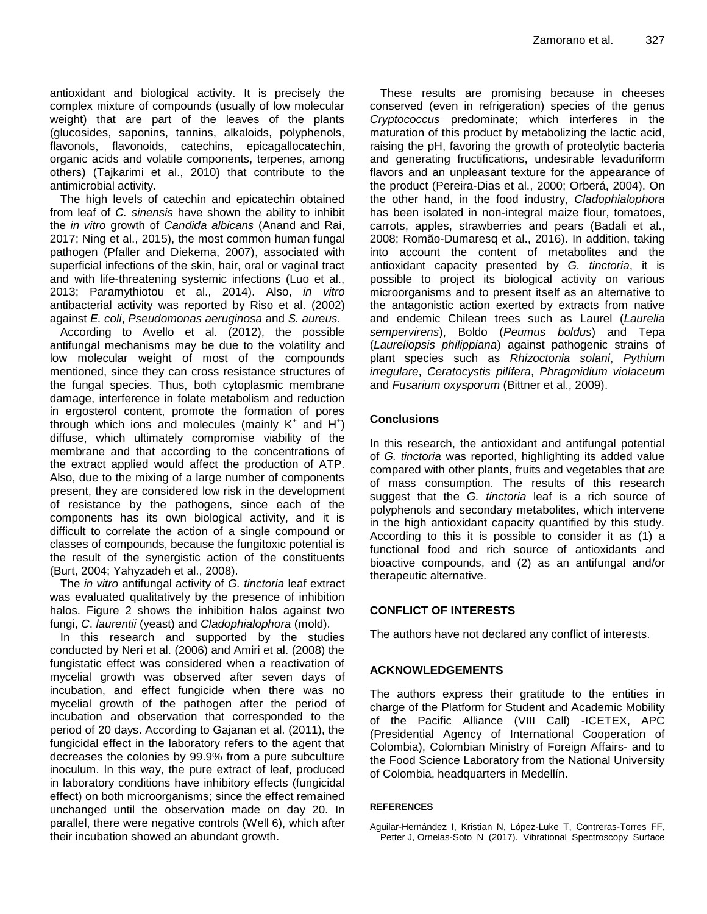antioxidant and biological activity. It is precisely the complex mixture of compounds (usually of low molecular weight) that are part of the leaves of the plants (glucosides, saponins, tannins, alkaloids, polyphenols, flavonols, flavonoids, catechins, epicagallocatechin, organic acids and volatile components, terpenes, among others) (Tajkarimi et al., 2010) that contribute to the antimicrobial activity.

The high levels of catechin and epicatechin obtained from leaf of *C. sinensis* have shown the ability to inhibit the *in vitro* growth of *Candida albicans* (Anand and Rai, 2017; Ning et al., 2015), the most common human fungal pathogen (Pfaller and Diekema, 2007), associated with superficial infections of the skin, hair, oral or vaginal tract and with life-threatening systemic infections (Luo et al., 2013; Paramythiotou et al., 2014). Also, *in vitro* antibacterial activity was reported by Riso et al. (2002) against *E. coli*, *Pseudomonas aeruginosa* and *S. aureus*.

According to Avello et al. (2012), the possible antifungal mechanisms may be due to the volatility and low molecular weight of most of the compounds mentioned, since they can cross resistance structures of the fungal species. Thus, both cytoplasmic membrane damage, interference in folate metabolism and reduction in ergosterol content, promote the formation of pores through which ions and molecules (mainly  $K^+$  and  $H^+$ ) diffuse, which ultimately compromise viability of the membrane and that according to the concentrations of the extract applied would affect the production of ATP. Also, due to the mixing of a large number of components present, they are considered low risk in the development of resistance by the pathogens, since each of the components has its own biological activity, and it is difficult to correlate the action of a single compound or classes of compounds, because the fungitoxic potential is the result of the synergistic action of the constituents (Burt, 2004; Yahyzadeh et al., 2008).

The *in vitro* antifungal activity of *G. tinctoria* leaf extract was evaluated qualitatively by the presence of inhibition halos. Figure 2 shows the inhibition halos against two fungi, *C*. *laurentii* (yeast) and *Cladophialophora* (mold).

In this research and supported by the studies conducted by Neri et al. (2006) and Amiri et al. (2008) the fungistatic effect was considered when a reactivation of mycelial growth was observed after seven days of incubation, and effect fungicide when there was no mycelial growth of the pathogen after the period of incubation and observation that corresponded to the period of 20 days. According to Gajanan et al. (2011), the fungicidal effect in the laboratory refers to the agent that decreases the colonies by 99.9% from a pure subculture inoculum. In this way, the pure extract of leaf, produced in laboratory conditions have inhibitory effects (fungicidal effect) on both microorganisms; since the effect remained unchanged until the observation made on day 20. In parallel, there were negative controls (Well 6), which after their incubation showed an abundant growth.

These results are promising because in cheeses conserved (even in refrigeration) species of the genus *Cryptococcus* predominate; which interferes in the maturation of this product by metabolizing the lactic acid, raising the pH, favoring the growth of proteolytic bacteria and generating fructifications, undesirable levaduriform flavors and an unpleasant texture for the appearance of the product (Pereira-Dias et al., 2000; Orberá, 2004). On the other hand, in the food industry, *Cladophialophora* has been isolated in non-integral maize flour, tomatoes, carrots, apples, strawberries and pears (Badali et al., 2008; Romão-Dumaresq et al., 2016). In addition, taking into account the content of metabolites and the antioxidant capacity presented by *G. tinctoria*, it is possible to project its biological activity on various microorganisms and to present itself as an alternative to the antagonistic action exerted by extracts from native and endemic Chilean trees such as Laurel (*Laurelia sempervirens*), Boldo (*Peumus boldus*) and Tepa (*Laureliopsis philippiana*) against pathogenic strains of plant species such as *Rhizoctonia solani*, *Pythium irregulare*, *Ceratocystis pilífera*, *Phragmidium violaceum* and *Fusarium oxysporum* (Bittner et al., 2009).

## **Conclusions**

In this research, the antioxidant and antifungal potential of *G. tinctoria* was reported, highlighting its added value compared with other plants, fruits and vegetables that are of mass consumption. The results of this research suggest that the *G. tinctoria* leaf is a rich source of polyphenols and secondary metabolites, which intervene in the high antioxidant capacity quantified by this study. According to this it is possible to consider it as (1) a functional food and rich source of antioxidants and bioactive compounds, and (2) as an antifungal and/or therapeutic alternative.

## **CONFLICT OF INTERESTS**

The authors have not declared any conflict of interests.

## **ACKNOWLEDGEMENTS**

The authors express their gratitude to the entities in charge of the Platform for Student and Academic Mobility of the Pacific Alliance (VIII Call) -ICETEX, APC (Presidential Agency of International Cooperation of Colombia), Colombian Ministry of Foreign Affairs- and to the Food Science Laboratory from the National University of Colombia, headquarters in Medellín.

## **REFERENCES**

Aguilar-Hernández I, Kristian N, López-Luke T, Contreras-Torres FF, Petter J, Ornelas-Soto N (2017). Vibrational Spectroscopy Surface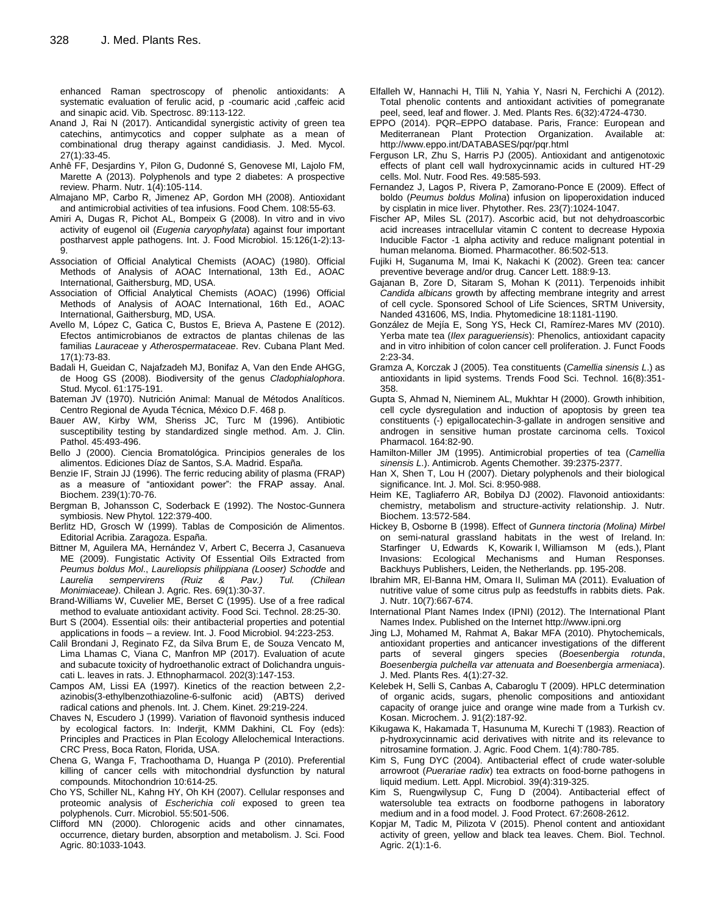enhanced Raman spectroscopy of phenolic antioxidants: A systematic evaluation of ferulic acid, p -coumaric acid ,caffeic acid and sinapic acid. Vib. Spectrosc. 89:113-122.

- Anand J, Rai N (2017). Anticandidal synergistic activity of green tea catechins, antimycotics and copper sulphate as a mean of combinational drug therapy against candidiasis. J. Med. Mycol. 27(1):33-45.
- Anhê FF, Desjardins Y, Pilon G, Dudonné S, Genovese MI, Lajolo FM, Marette A (2013). Polyphenols and type 2 diabetes: A prospective review. Pharm. Nutr. 1(4):105-114.
- Almajano MP, Carbo R, Jimenez AP, Gordon MH (2008). Antioxidant and antimicrobial activities of tea infusions. Food Chem. 108:55-63.
- Amiri A, Dugas R, Pichot AL, Bompeix G (2008). In vitro and in vivo activity of eugenol oil (*Eugenia caryophylata*) against four important postharvest apple pathogens. Int. J. Food Microbiol. 15:126(1-2):13- 9.
- Association of Official Analytical Chemists (AOAC) (1980). Official Methods of Analysis of AOAC International, 13th Ed., AOAC International, Gaithersburg, MD, USA.
- Association of Official Analytical Chemists (AOAC) (1996) Official Methods of Analysis of AOAC International, 16th Ed., AOAC International, Gaithersburg, MD, USA.
- Avello M, López C, Gatica C, Bustos E, Brieva A, Pastene E (2012). Efectos antimicrobianos de extractos de plantas chilenas de las familias *Lauraceae* y *Atherospermataceae*. Rev. Cubana Plant Med. 17(1):73-83.
- Badali H, Gueidan C, Najafzadeh MJ, Bonifaz A, Van den Ende AHGG, de Hoog GS (2008). Biodiversity of the genus *Cladophialophora*. Stud. Mycol. 61:175-191.
- Bateman JV (1970). Nutrición Animal: Manual de Métodos Analíticos. Centro Regional de Ayuda Técnica, México D.F. 468 p.
- Bauer AW, Kirby WM, Sheriss JC, Turc M (1996). Antibiotic susceptibility testing by standardized single method. Am. J. Clin. Pathol. 45:493-496.
- Bello J (2000). Ciencia Bromatológica. Principios generales de los alimentos. Ediciones Díaz de Santos, S.A. Madrid. España.
- Benzie IF, Strain JJ (1996). The ferric reducing ability of plasma (FRAP) as a measure of "antioxidant power": the FRAP assay. Anal. Biochem. 239(1):70-76.
- Bergman B, Johansson C, Soderback E (1992). The Nostoc-Gunnera symbiosis. New Phytol. 122:379-400.
- Berlitz HD, Grosch W (1999). Tablas de Composición de Alimentos. Editorial Acribia. Zaragoza. España.
- Bittner M, Aguilera MA, Hernández V, Arbert C, Becerra J, Casanueva ME (2009). Fungistatic Activity Of Essential Oils Extracted from *Peumus boldus Mol*., *Laureliopsis philippiana (Looser) Schodde* and *Laurelia sempervirens (Ruiz & Pav.) Tul. (Chilean Monimiaceae)*. Chilean J. Agric. Res. 69(1):30-37.
- Brand-Williams W, Cuvelier ME, Berset C (1995). Use of a free radical method to evaluate antioxidant activity. Food Sci. Technol. 28:25-30.
- Burt S (2004). Essential oils: their antibacterial properties and potential applications in foods – a review. Int. J. Food Microbiol. 94:223-253.
- Calil Brondani J, Reginato FZ, da Silva Brum E, de Souza Vencato M, Lima Lhamas C, Viana C, Manfron MP (2017). Evaluation of acute and subacute toxicity of hydroethanolic extract of Dolichandra unguiscati L. leaves in rats. J. Ethnopharmacol. 202(3):147-153.
- Campos AM, Lissi EA (1997). Kinetics of the reaction between 2,2 azinobis(3-ethylbenzothiazoline-6-sulfonic acid) (ABTS) derived radical cations and phenols. Int. J. Chem. Kinet. 29:219-224.
- Chaves N, Escudero J (1999). Variation of flavonoid synthesis induced by ecological factors. In: Inderjit, KMM Dakhini, CL Foy (eds): Principles and Practices in Plan Ecology Allelochemical Interactions. CRC Press, Boca Raton, Florida, USA.
- Chena G, Wanga F, Trachoothama D, Huanga P (2010). Preferential killing of cancer cells with mitochondrial dysfunction by natural compounds. Mitochondrion 10:614-25.
- Cho YS, Schiller NL, Kahng HY, Oh KH (2007). Cellular responses and proteomic analysis of *Escherichia coli* exposed to green tea polyphenols. Curr. Microbiol. 55:501-506.
- Clifford MN (2000). Chlorogenic acids and other cinnamates, occurrence, dietary burden, absorption and metabolism. J. Sci. Food Agric. 80:1033-1043.
- Elfalleh W, Hannachi H, Tlili N, Yahia Y, Nasri N, Ferchichi A (2012). Total phenolic contents and antioxidant activities of pomegranate peel, seed, leaf and flower. J. Med. Plants Res. 6(32):4724-4730.
- EPPO (2014). PQR–EPPO database. Paris, France: European and Mediterranean Plant Protection Organization. Available at: http://www.eppo.int/DATABASES/pqr/pqr.html
- Ferguson LR, Zhu S, Harris PJ (2005). Antioxidant and antigenotoxic effects of plant cell wall hydroxycinnamic acids in cultured HT-29 cells. Mol. Nutr. Food Res. 49:585-593.
- Fernandez J, Lagos P, Rivera P, Zamorano-Ponce E (2009). Effect of boldo (*Peumus boldus Molina*) infusion on lipoperoxidation induced by cisplatin in mice liver. Phytother. Res. 23(7):1024-1047.
- Fischer AP, Miles SL (2017). Ascorbic acid, but not dehydroascorbic acid increases intracellular vitamin C content to decrease Hypoxia Inducible Factor -1 alpha activity and reduce malignant potential in human melanoma. Biomed. Pharmacother. 86:502-513.
- Fujiki H, Suganuma M, Imai K, Nakachi K (2002). Green tea: cancer preventive beverage and/or drug. Cancer Lett. 188:9-13.
- Gajanan B, Zore D, Sitaram S, Mohan K (2011). Terpenoids inhibit *Candida albicans* growth by affecting membrane integrity and arrest of cell cycle. Sponsored School of Life Sciences, SRTM University, Nanded 431606, MS, India. Phytomedicine 18:1181-1190.
- González de Mejía E, Song YS, Heck CI, Ramírez-Mares MV (2010). Yerba mate tea (*Ilex paragueriensis*): Phenolics, antioxidant capacity and in vitro inhibition of colon cancer cell proliferation. J. Funct Foods 2:23-34.
- Gramza A, Korczak J (2005). Tea constituents (*Camellia sinensis L*.) as antioxidants in lipid systems. Trends Food Sci. Technol. 16(8):351- 358.
- Gupta S, Ahmad N, Nieminem AL, Mukhtar H (2000). Growth inhibition, cell cycle dysregulation and induction of apoptosis by green tea constituents (-) epigallocatechin-3-gallate in androgen sensitive and androgen in sensitive human prostate carcinoma cells. Toxicol Pharmacol. 164:82-90.
- Hamilton-Miller JM (1995). Antimicrobial properties of tea (*Camellia sinensis L*.). Antimicrob. Agents Chemother. 39:2375-2377.
- Han X, Shen T, Lou H (2007). Dietary polyphenols and their biological significance. Int. J. Mol. Sci. 8:950-988.
- Heim KE, Tagliaferro AR, Bobilya DJ (2002). Flavonoid antioxidants: chemistry, metabolism and structure-activity relationship. J. Nutr. Biochem. 13:572-584.
- Hickey B, Osborne B (1998). Effect of *Gunnera tinctoria (Molina) Mirbel* on semi-natural grassland habitats in the west of Ireland. In: Starfinger U, Edwards K, Kowarik I, Williamson M (eds.), Plant Invasions: Ecological Mechanisms and Human Responses. Backhuys Publishers, Leiden, the Netherlands. pp. 195-208.
- Ibrahim MR, El-Banna HM, Omara II, Suliman MA (2011). Evaluation of nutritive value of some citrus pulp as feedstuffs in rabbits diets. Pak. J. Nutr. 10(7):667-674.
- International Plant Names Index (IPNI) (2012). The International Plant Names Index. Published on the Internet http://www.ipni.org
- Jing LJ, Mohamed M, Rahmat A, Bakar MFA (2010). Phytochemicals, antioxidant properties and anticancer investigations of the different parts of several gingers species (*Boesenbergia rotunda*, *Boesenbergia pulchella var attenuata and Boesenbergia armeniaca*). J. Med. Plants Res. 4(1):27-32.
- Kelebek H, Selli S, Canbas A, Cabaroglu T (2009). HPLC determination of organic acids, sugars, phenolic compositions and antioxidant capacity of orange juice and orange wine made from a Turkish cv. Kosan. Microchem. J. 91(2):187-92.
- Kikugawa K, Hakamada T, Hasunuma M, Kurechi T (1983). Reaction of p-hydroxycinnamic acid derivatives with nitrite and its relevance to nitrosamine formation. J. Agric. Food Chem. 1(4):780-785.
- Kim S, Fung DYC (2004). Antibacterial effect of crude water-soluble arrowroot (*Puerariae radix*) tea extracts on food-borne pathogens in liquid medium. Lett. Appl. Microbiol. 39(4):319-325.
- Kim S, Ruengwilysup C, Fung D (2004). Antibacterial effect of watersoluble tea extracts on foodborne pathogens in laboratory medium and in a food model. J. Food Protect. 67:2608-2612.
- Kopjar M, Tadic M, Pilizota V (2015). Phenol content and antioxidant activity of green, yellow and black tea leaves. Chem. Biol. Technol. Agric. 2(1):1-6.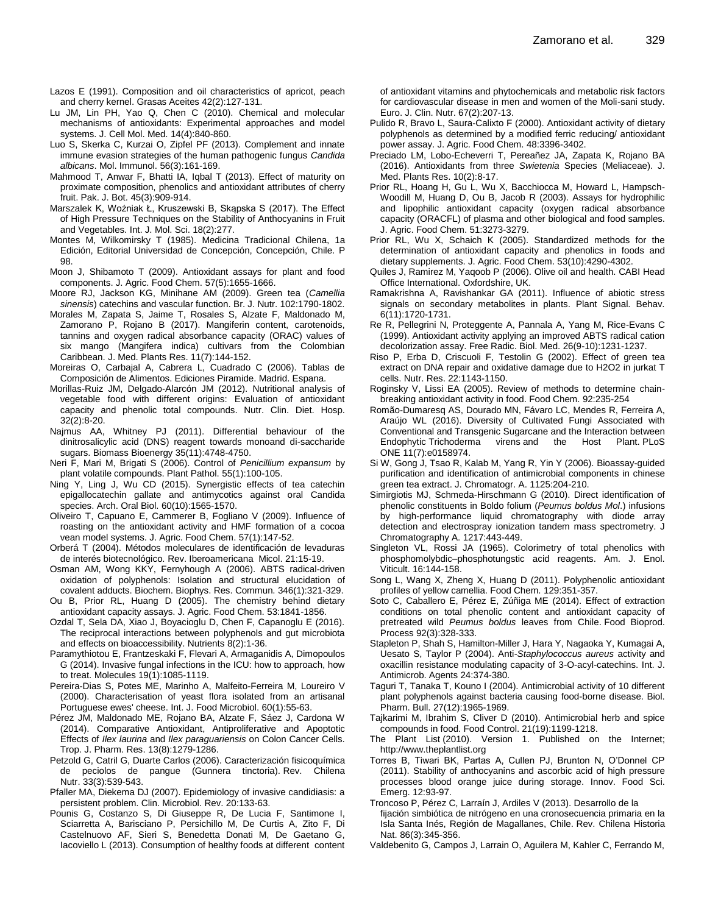- Lazos E (1991). Composition and oil characteristics of apricot, peach and cherry kernel. Grasas Aceites 42(2):127-131.
- Lu JM, Lin PH, Yao Q, Chen C (2010). Chemical and molecular mechanisms of antioxidants: Experimental approaches and model systems. J. Cell Mol. Med. 14(4):840-860.
- Luo S, Skerka C, Kurzai O, Zipfel PF (2013). Complement and innate immune evasion strategies of the human pathogenic fungus *Candida albicans*. Mol. Immunol. 56(3):161-169.
- Mahmood T, Anwar F, Bhatti IA, Iqbal T (2013). Effect of maturity on proximate composition, phenolics and antioxidant attributes of cherry fruit. Pak. J. Bot. 45(3):909-914.
- Marszalek K, Woźniak Ł, Kruszewski B, Skąpska S (2017). The Effect of High Pressure Techniques on the Stability of Anthocyanins in Fruit and Vegetables. Int. J. Mol. Sci. 18(2):277.
- Montes M, Wilkomirsky T (1985). Medicina Tradicional Chilena, 1a Edición, Editorial Universidad de Concepción, Concepción, Chile. P 98.
- Moon J, Shibamoto T (2009). Antioxidant assays for plant and food components. J. Agric. Food Chem. 57(5):1655-1666.
- Moore RJ, Jackson KG, Minihane AM (2009). Green tea (*Camellia sinensis*) catechins and vascular function. Br. J. Nutr. 102:1790-1802.
- Morales M, Zapata S, Jaime T, Rosales S, Alzate F, Maldonado M, Zamorano P, Rojano B (2017). Mangiferin content, carotenoids, tannins and oxygen radical absorbance capacity (ORAC) values of six mango (Mangifera indica) cultivars from the Colombian Caribbean. J. Med. Plants Res. 11(7):144-152.
- Moreiras O, Carbajal A, Cabrera L, Cuadrado C (2006). Tablas de Composición de Alimentos. Ediciones Piramide. Madrid. Espana.
- Morillas-Ruiz JM, Delgado-Alarcón JM (2012). Nutritional analysis of vegetable food with different origins: Evaluation of antioxidant capacity and phenolic total compounds. Nutr. Clin. Diet. Hosp. 32(2):8-20.
- Najmus AA, Whitney PJ (2011). Differential behaviour of the dinitrosalicylic acid (DNS) reagent towards monoand di-saccharide sugars. Biomass Bioenergy 35(11):4748-4750.
- Neri F, Mari M, Brigati S (2006). Control of *Penicillium expansum* by plant volatile compounds. Plant Pathol. 55(1):100-105.
- Ning Y, Ling J, Wu CD (2015). Synergistic effects of tea catechin epigallocatechin gallate and antimycotics against oral Candida species. Arch. Oral Biol. 60(10):1565-1570.
- Oliveiro T, Capuano E, Cammerer B, Fogliano V (2009). Influence of roasting on the antioxidant activity and HMF formation of a cocoa vean model systems. J. Agric. Food Chem. 57(1):147-52.
- Orberá T (2004). Métodos moleculares de identificación de levaduras de interés biotecnológico. Rev. Iberoamericana Micol. 21:15-19.
- Osman AM, Wong KKY, Fernyhough A (2006). ABTS radical-driven oxidation of polyphenols: Isolation and structural elucidation of covalent adducts. Biochem. Biophys. Res. Commun. 346(1):321-329.
- Ou B, Prior RL, Huang D (2005). The chemistry behind dietary antioxidant capacity assays. J. Agric. Food Chem. 53:1841-1856.
- Ozdal T, Sela DA, Xiao J, Boyacioglu D, Chen F, Capanoglu E (2016). The reciprocal interactions between polyphenols and gut microbiota and effects on bioaccessibility. Nutrients 8(2):1-36.
- Paramythiotou E, Frantzeskaki F, Flevari A, Armaganidis A, Dimopoulos G (2014). Invasive fungal infections in the ICU: how to approach, how to treat. Molecules 19(1):1085-1119.
- Pereira-Dias S, Potes ME, Marinho A, Malfeito-Ferreira M, Loureiro V (2000). Characterisation of yeast flora isolated from an artisanal Portuguese ewes' cheese. Int. J. Food Microbiol. 60(1):55-63.
- Pérez JM, Maldonado ME, Rojano BA, Alzate F, Sáez J, Cardona W (2014). Comparative Antioxidant, Antiproliferative and Apoptotic Effects of *Ilex laurina* and *Ilex paraguariensis* on Colon Cancer Cells. Trop. J. Pharm. Res. 13(8):1279-1286.
- Petzold G, Catril G, Duarte Carlos (2006). Caracterización fisicoquímica de peciolos de pangue (Gunnera tinctoria). Rev. Chilena Nutr. 33(3):539-543.
- Pfaller MA, Diekema DJ (2007). Epidemiology of invasive candidiasis: a persistent problem. Clin. Microbiol. Rev. 20:133-63.
- Pounis G, Costanzo S, Di Giuseppe R, De Lucia F, Santimone I, Sciarretta A, Barisciano P, Persichillo M, De Curtis A, Zito F, Di Castelnuovo AF, Sieri S, Benedetta Donati M, De Gaetano G, Iacoviello L (2013). Consumption of healthy foods at different content

of antioxidant vitamins and phytochemicals and metabolic risk factors for cardiovascular disease in men and women of the Moli-sani study. Euro. J. Clin. Nutr. 67(2):207-13.

- Pulido R, Bravo L, Saura-Calixto F (2000). Antioxidant activity of dietary polyphenols as determined by a modified ferric reducing/ antioxidant power assay. J. Agric. Food Chem. 48:3396-3402.
- Preciado LM, Lobo-Echeverri T, Pereañez JA, Zapata K, Rojano BA (2016). Antioxidants from three *Swietenia* Species (Meliaceae). J. Med. Plants Res. 10(2):8-17.
- Prior RL, Hoang H, Gu L, Wu X, Bacchiocca M, Howard L, Hampsch-Woodill M, Huang D, Ou B, Jacob R (2003). Assays for hydrophilic and lipophilic antioxidant capacity (oxygen radical absorbance capacity (ORACFL) of plasma and other biological and food samples. J. Agric. Food Chem. 51:3273-3279.
- Prior RL, Wu X, Schaich K (2005). Standardized methods for the determination of antioxidant capacity and phenolics in foods and dietary supplements. J. Agric. Food Chem. 53(10):4290-4302.
- Quiles J, Ramirez M, Yaqoob P (2006). Olive oil and health. CABI Head Office International. Oxfordshire, UK.
- Ramakrishna A, Ravishankar GA (2011). Influence of abiotic stress signals on secondary metabolites in plants. Plant Signal. Behav. 6(11):1720-1731.
- Re R, Pellegrini N, Proteggente A, Pannala A, Yang M, Rice-Evans C (1999). Antioxidant activity applying an improved ABTS radical cation decolorization assay. Free Radic. Biol. Med. 26(9-10):1231-1237.
- Riso P, Erba D, Criscuoli F, Testolin G (2002). Effect of green tea extract on DNA repair and oxidative damage due to H2O2 in jurkat T cells. Nutr. Res. 22:1143-1150.
- Roginsky V, Lissi EA (2005). Review of methods to determine chainbreaking antioxidant activity in food. Food Chem. 92:235-254
- Romão-Dumaresq AS, Dourado MN, Fávaro LC, Mendes R, Ferreira A, Araújo WL (2016). Diversity of Cultivated Fungi Associated with Conventional and Transgenic Sugarcane and the Interaction between Endophytic Trichoderma virens and the Host Plant. PLoS ONE 11(7):e0158974.
- Si W, Gong J, Tsao R, Kalab M, Yang R, Yin Y (2006). Bioassay-guided purification and identification of antimicrobial components in chinese green tea extract. J. Chromatogr. A. 1125:204-210.
- Simirgiotis MJ, Schmeda-Hirschmann G (2010). Direct identification of phenolic constituents in Boldo folium (*Peumus boldus Mol*.) infusions by high-performance liquid chromatography with diode array detection and electrospray ionization tandem mass spectrometry. J Chromatography A. 1217:443-449.
- Singleton VL, Rossi JA (1965). Colorimetry of total phenolics with phosphomolybdic–phosphotungstic acid reagents. Am. J. Enol. Viticult. 16:144-158.
- Song L, Wang X, Zheng X, Huang D (2011). Polyphenolic antioxidant profiles of yellow camellia. Food Chem. 129:351-357.
- Soto C, Caballero E, Pérez E, Zúñiga ME (2014). Effect of extraction conditions on total phenolic content and antioxidant capacity of pretreated wild *Peumus boldus* leaves from Chile. Food Bioprod. Process 92(3):328-333.
- Stapleton P, Shah S, Hamilton-Miller J, Hara Y, Nagaoka Y, Kumagai A, Uesato S, Taylor P (2004). Anti-*Staphylococcus aureus* activity and oxacillin resistance modulating capacity of 3-O-acyl-catechins. Int. J. Antimicrob. Agents 24:374-380.
- Taguri T, Tanaka T, Kouno I (2004). Antimicrobial activity of 10 different plant polyphenols against bacteria causing food-borne disease. Biol. Pharm. Bull. 27(12):1965-1969.
- Tajkarimi M, Ibrahim S, Cliver D (2010). Antimicrobial herb and spice compounds in food. Food Control. 21(19):1199-1218.
- The Plant List (2010). Version 1. Published on the Internet; http://www.theplantlist.org
- Torres B, Tiwari BK, Partas A, Cullen PJ, Brunton N, O'Donnel CP (2011). Stability of anthocyanins and ascorbic acid of high pressure processes blood orange juice during storage. Innov. Food Sci. Emerg. 12:93-97.
- Troncoso P, Pérez C, Larraín J, Ardiles V (2013). Desarrollo de la
- fijación simbiótica de nitrógeno en una cronosecuencia primaria en la Isla Santa Inés, Región de Magallanes, Chile. Rev. Chilena Historia Nat. 86(3):345-356.
- Valdebenito G, Campos J, Larrain O, Aguilera M, Kahler C, Ferrando M,